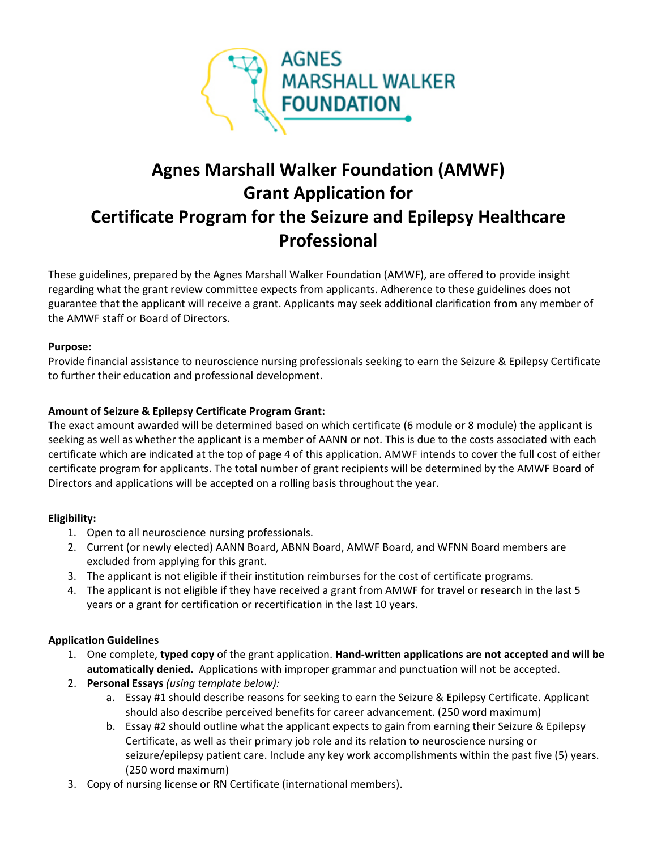

# **Agnes Marshall Walker Foundation (AMWF) Grant Application for Certificate Program for the Seizure and Epilepsy Healthcare Professional**

These guidelines, prepared by the Agnes Marshall Walker Foundation (AMWF), are offered to provide insight regarding what the grant review committee expects from applicants. Adherence to these guidelines does not guarantee that the applicant will receive a grant. Applicants may seek additional clarification from any member of the AMWF staff or Board of Directors.

#### **Purpose:**

Provide financial assistance to neuroscience nursing professionals seeking to earn the Seizure & Epilepsy Certificate to further their education and professional development.

#### **Amount of Seizure & Epilepsy Certificate Program Grant:**

The exact amount awarded will be determined based on which certificate (6 module or 8 module) the applicant is seeking as well as whether the applicant is a member of AANN or not. This is due to the costs associated with each certificate which are indicated at the top of page 4 of this application. AMWF intends to cover the full cost of either certificate program for applicants. The total number of grant recipients will be determined by the AMWF Board of Directors and applications will be accepted on a rolling basis throughout the year.

#### **Eligibility:**

- 1. Open to all neuroscience nursing professionals.
- 2. Current (or newly elected) AANN Board, ABNN Board, AMWF Board, and WFNN Board members are excluded from applying for this grant.
- 3. The applicant is not eligible if their institution reimburses for the cost of certificate programs.
- 4. The applicant is not eligible if they have received a grant from AMWF for travel or research in the last 5 years or a grant for certification or recertification in the last 10 years.

#### **Application Guidelines**

- 1. One complete, **typed copy** of the grant application. **Hand-written applications are not accepted and will be automatically denied.** Applications with improper grammar and punctuation will not be accepted.
- 2. **Personal Essays** *(using template below):*
	- a. Essay #1 should describe reasons for seeking to earn the Seizure & Epilepsy Certificate. Applicant should also describe perceived benefits for career advancement. (250 word maximum)
	- b. Essay #2 should outline what the applicant expects to gain from earning their Seizure & Epilepsy Certificate, as well as their primary job role and its relation to neuroscience nursing or seizure/epilepsy patient care. Include any key work accomplishments within the past five (5) years. (250 word maximum)
- 3. Copy of nursing license or RN Certificate (international members).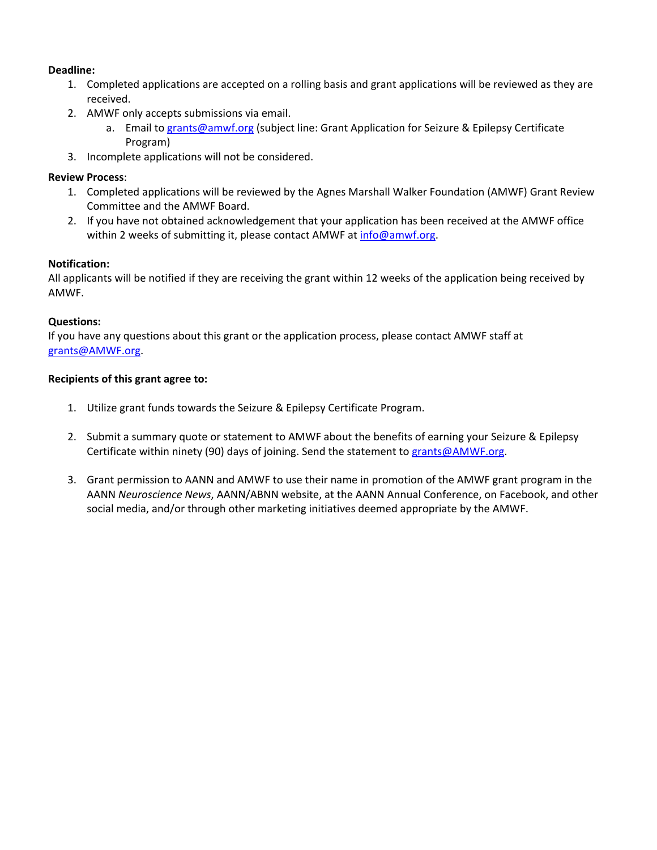#### **Deadline:**

- 1. Completed applications are accepted on a rolling basis and grant applications will be reviewed as they are received.
- 2. AMWF only accepts submissions via email.
	- a. Email to [grants@amwf.org](mailto:grants@amwf.org?subject=Grant%20Application%20for%20AANN%20Membership) (subject line: Grant Application for Seizure & Epilepsy Certificate Program)
- 3. Incomplete applications will not be considered.

#### **Review Process**:

- 1. Completed applications will be reviewed by the Agnes Marshall Walker Foundation (AMWF) Grant Review Committee and the AMWF Board.
- 2. If you have not obtained acknowledgement that your application has been received at the AMWF office within 2 weeks of submitting it, please contact AMWF at [info@amwf.org.](mailto:info@amwf.org)

#### **Notification:**

All applicants will be notified if they are receiving the grant within 12 weeks of the application being received by AMWF.

#### **Questions:**

If you have any questions about this grant or the application process, please contact AMWF staff at [grants@AMWF.org.](mailto:grants@AMWF.org)

#### **Recipients of this grant agree to:**

- 1. Utilize grant funds towards the Seizure & Epilepsy Certificate Program.
- 2. Submit a summary quote or statement to AMWF about the benefits of earning your Seizure & Epilepsy Certificate within ninety (90) days of joining. Send the statement to [grants@AMWF.org.](mailto:grants@AMWF.org)
- 3. Grant permission to AANN and AMWF to use their name in promotion of the AMWF grant program in the AANN *Neuroscience News*, AANN/ABNN website, at the AANN Annual Conference, on Facebook, and other social media, and/or through other marketing initiatives deemed appropriate by the AMWF.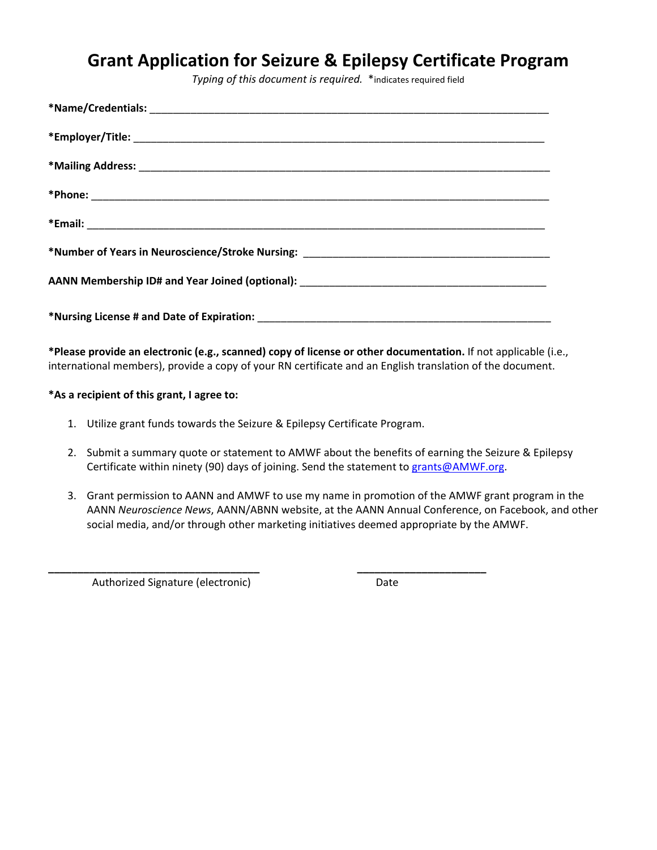### **Grant Application for Seizure & Epilepsy Certificate Program**

*Typing of this document is required.* \*indicates required field

**\*Please provide an electronic (e.g., scanned) copy of license or other documentation.** If not applicable (i.e., international members), provide a copy of your RN certificate and an English translation of the document.

**\*As a recipient of this grant, I agree to:**

1. Utilize grant funds towards the Seizure & Epilepsy Certificate Program.

**\_\_\_\_\_\_\_\_\_\_\_\_\_\_\_\_\_\_\_\_\_\_\_\_\_\_\_\_\_\_\_\_\_\_\_\_ \_\_\_\_\_\_\_\_\_\_\_\_\_\_\_\_\_\_\_\_\_\_**

- 2. Submit a summary quote or statement to AMWF about the benefits of earning the Seizure & Epilepsy Certificate within ninety (90) days of joining. Send the statement to [grants@AMWF.org.](mailto:grants@AMWF.org)
- 3. Grant permission to AANN and AMWF to use my name in promotion of the AMWF grant program in the AANN *Neuroscience News*, AANN/ABNN website, at the AANN Annual Conference, on Facebook, and other social media, and/or through other marketing initiatives deemed appropriate by the AMWF.

Authorized Signature (electronic) Date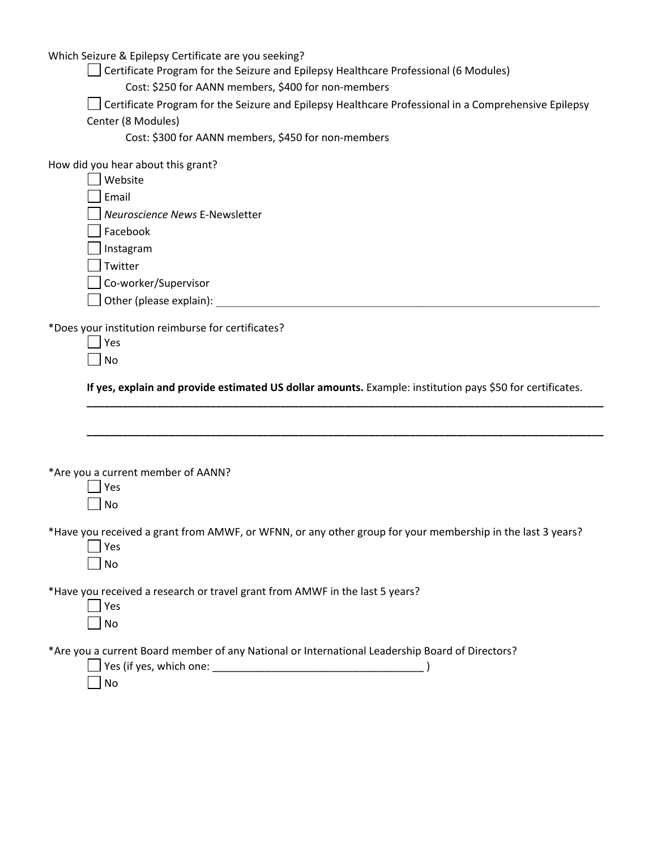Which Seizure & Epilepsy Certificate are you seeking?

Certificate Program for the Seizure and Epilepsy Healthcare Professional (6 Modules)

Cost: \$250 for AANN members, \$400 for non-members

Certificate Program for the Seizure and Epilepsy Healthcare Professional in a Comprehensive Epilepsy Center (8 Modules)

Cost: \$300 for AANN members, \$450 for non-members

How did you hear about this grant?

| Website                        |
|--------------------------------|
| Email                          |
| Neuroscience News E-Newsletter |
| Facebook                       |
|                                |

 $\Box$  Instagram

 $\Box$  Twitter

Co-worker/Supervisor

 $\Box$  Other (please explain):  $\Box$ 

\*Does your institution reimburse for certificates?

| ł |
|---|
|   |

 $\Box$  No

**If yes, explain and provide estimated US dollar amounts.** Example: institution pays \$50 for certificates.

**\_\_\_\_\_\_\_\_\_\_\_\_\_\_\_\_\_\_\_\_\_\_\_\_\_\_\_\_\_\_\_\_\_\_\_\_\_\_\_\_\_\_\_\_\_\_\_\_\_\_\_\_\_\_\_\_\_\_\_\_\_\_\_\_\_\_\_\_\_\_\_\_\_\_\_\_\_\_\_\_\_\_\_\_\_\_\_\_**

**\_\_\_\_\_\_\_\_\_\_\_\_\_\_\_\_\_\_\_\_\_\_\_\_\_\_\_\_\_\_\_\_\_\_\_\_\_\_\_\_\_\_\_\_\_\_\_\_\_\_\_\_\_\_\_\_\_\_\_\_\_\_\_\_\_\_\_\_\_\_\_\_\_\_\_\_\_\_\_\_\_\_\_\_\_\_\_\_**

\*Are you a current member of AANN?

|  | s. |
|--|----|
|  | C) |

\*Have you received a grant from AMWF, or WFNN, or any other group for your membership in the last 3 years?

| u |
|---|
|   |

\*Have you received a research or travel grant from AMWF in the last 5 years?

| c<br>Ξ  |
|---------|
| ۱l<br>n |

\*Are you a current Board member of any National or International Leadership Board of Directors?

| Yes (if yes, which one: |  |
|-------------------------|--|
|                         |  |